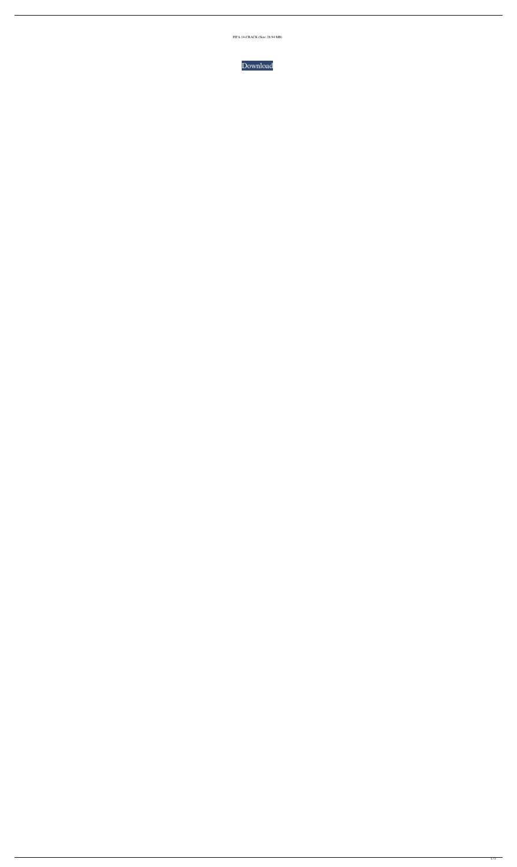FIFA 14-CRACK (Size: 28.94 MB)